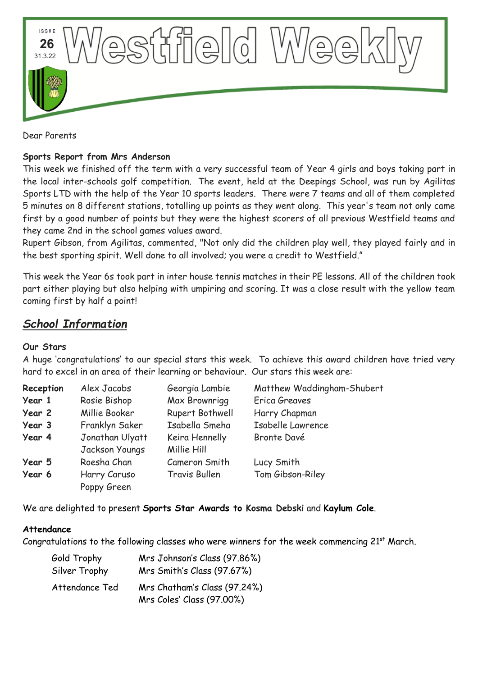

Dear Parents

### **Sports Report from Mrs Anderson**

This week we finished off the term with a very successful team of Year 4 girls and boys taking part in the local inter-schools golf competition. The event, held at the Deepings School, was run by Agilitas Sports LTD with the help of the Year 10 sports leaders. There were 7 teams and all of them completed 5 minutes on 8 different stations, totalling up points as they went along. This year's team not only came first by a good number of points but they were the highest scorers of all previous Westfield teams and they came 2nd in the school games values award.

Rupert Gibson, from Agilitas, commented, "Not only did the children play well, they played fairly and in the best sporting spirit. Well done to all involved; you were a credit to Westfield."

This week the Year 6s took part in inter house tennis matches in their PE lessons. All of the children took part either playing but also helping with umpiring and scoring. It was a close result with the yellow team coming first by half a point!

# *School Information*

#### **Our Stars**

A huge 'congratulations' to our special stars this week. To achieve this award children have tried very hard to excel in an area of their learning or behaviour. Our stars this week are:

| Reception | Alex Jacobs     | Georgia Lambie       | Matthew Waddingham-Shubert |
|-----------|-----------------|----------------------|----------------------------|
| Year 1    | Rosie Bishop    | Max Brownrigg        | Erica Greaves              |
| Year 2    | Millie Booker   | Rupert Bothwell      | Harry Chapman              |
| Year 3    | Franklyn Saker  | Isabella Smeha       | Isabelle Lawrence          |
| Year 4    | Jonathan Ulyatt | Keira Hennelly       | Bronte Davé                |
|           | Jackson Youngs  | Millie Hill          |                            |
| Year 5    | Roesha Chan     | Cameron Smith        | Lucy Smith                 |
| Year 6    | Harry Caruso    | <b>Travis Bullen</b> | Tom Gibson-Riley           |
|           | Poppy Green     |                      |                            |

We are delighted to present **Sports Star Awards to Kosma Debski** and **Kaylum Cole**.

#### **Attendance**

Congratulations to the following classes who were winners for the week commencing  $21<sup>st</sup>$  March.

| Gold Trophy    | Mrs Johnson's Class (97.86%)                              |
|----------------|-----------------------------------------------------------|
| Silver Trophy  | Mrs Smith's Class (97.67%)                                |
| Attendance Ted | Mrs Chatham's Class (97.24%)<br>Mrs Coles' Class (97.00%) |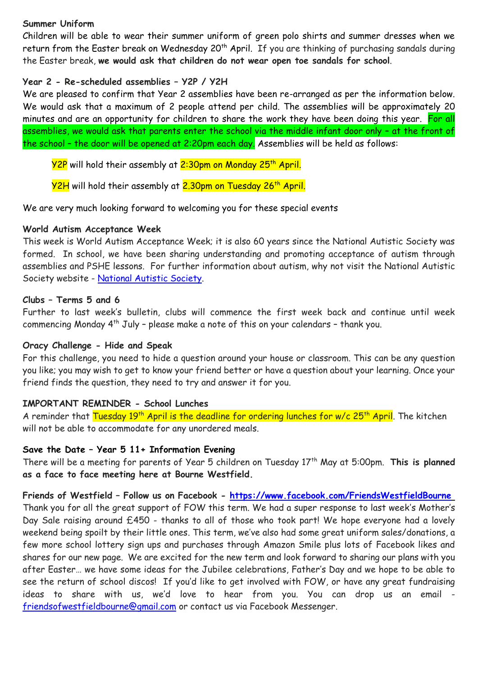#### **Summer Uniform**

Children will be able to wear their summer uniform of green polo shirts and summer dresses when we return from the Easter break on Wednesday 20<sup>th</sup> April. If you are thinking of purchasing sandals during the Easter break, **we would ask that children do not wear open toe sandals for school**.

#### **Year 2 - Re-scheduled assemblies – Y2P / Y2H**

We are pleased to confirm that Year 2 assemblies have been re-arranged as per the information below. We would ask that a maximum of 2 people attend per child. The assemblies will be approximately 20 minutes and are an opportunity for children to share the work they have been doing this year. For all assemblies, we would ask that parents enter the school via the middle infant door only – at the front of the school – the door will be opened at 2:20pm each day. Assemblies will be held as follows:

<mark>Y2P</mark> will hold their assembly at <mark>2:30pm on Monday 25<sup>th</sup> April.</mark>

Y2H will hold their assembly at 2.30pm on Tuesday 26<sup>th</sup> April.

We are very much looking forward to welcoming you for these special events

#### **World Autism Acceptance Week**

This week is World Autism Acceptance Week; it is also 60 years since the National Autistic Society was formed. In school, we have been sharing understanding and promoting acceptance of autism through assemblies and PSHE lessons. For further information about autism, why not visit the National Autistic Society website - [National Autistic Society.](https://www.autism.org.uk/?gclid=Cj0KCQjw_4-SBhCgARIsAAlegrUKCQQPDziu_UQvWLNPA2CKYXOe-9Q3Km2D7NQsYRHgb_Rx25Xv5q4aAlqiEALw_wcB)

#### **Clubs – Terms 5 and 6**

Further to last week's bulletin, clubs will commence the first week back and continue until week commencing Monday 4th July – please make a note of this on your calendars – thank you.

#### **Oracy Challenge - Hide and Speak**

For this challenge, you need to hide a question around your house or classroom. This can be any question you like; you may wish to get to know your friend better or have a question about your learning. Once your friend finds the question, they need to try and answer it for you.

#### **IMPORTANT REMINDER - School Lunches**

A reminder that Tuesday 19<sup>th</sup> April is the deadline for ordering lunches for w/c 25<sup>th</sup> April. The kitchen will not be able to accommodate for any unordered meals.

#### **Save the Date – Year 5 11+ Information Evening**

There will be a meeting for parents of Year 5 children on Tuesday 17<sup>th</sup> May at 5:00pm. This is planned **as a face to face meeting here at Bourne Westfield.**

#### **Friends of Westfield – Follow us on Facebook - <https://www.facebook.com/FriendsWestfieldBourne>**

Thank you for all the great support of FOW this term. We had a super response to last week's Mother's Day Sale raising around £450 - thanks to all of those who took part! We hope everyone had a lovely weekend being spoilt by their little ones. This term, we've also had some great uniform sales/donations, a few more school lottery sign ups and purchases through Amazon Smile plus lots of Facebook likes and shares for our new page. We are excited for the new term and look forward to sharing our plans with you after Easter… we have some ideas for the Jubilee celebrations, Father's Day and we hope to be able to see the return of school discos! If you'd like to get involved with FOW, or have any great fundraising ideas to share with us, we'd love to hear from you. You can drop us an email [friendsofwestfieldbourne@gmail.com](mailto:friendsofwestfieldbourne@gmail.com) or contact us via Facebook Messenger.